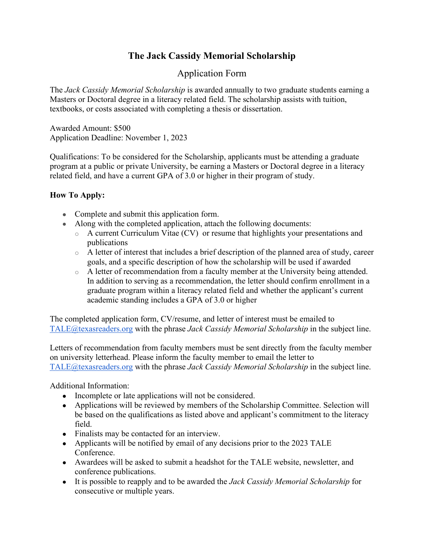# **The Jack Cassidy Memorial Scholarship**

## Application Form

The *Jack Cassidy Memorial Scholarship* is awarded annually to two graduate students earning a Masters or Doctoral degree in a literacy related field. The scholarship assists with tuition, textbooks, or costs associated with completing a thesis or dissertation.

Awarded Amount: \$500 Application Deadline: November 1, 2023

Qualifications: To be considered for the Scholarship, applicants must be attending a graduate program at a public or private University, be earning a Masters or Doctoral degree in a literacy related field, and have a current GPA of 3.0 or higher in their program of study.

### **How To Apply:**

- Complete and submit this application form.
- Along with the completed application, attach the following documents:
	- o A current Curriculum Vitae (CV) or resume that highlights your presentations and publications
	- o A letter of interest that includes a brief description of the planned area of study, career goals, and a specific description of how the scholarship will be used if awarded
	- o A letter of recommendation from a faculty member at the University being attended. In addition to serving as a recommendation, the letter should confirm enrollment in a graduate program within a literacy related field and whether the applicant's current academic standing includes a GPA of 3.0 or higher

The completed application form, CV/resume, and letter of interest must be emailed to [TALE@texasreaders.org](mailto:TALE@texasreaders.org) with the phrase *Jack Cassidy Memorial Scholarship* in the subject line.

Letters of recommendation from faculty members must be sent directly from the faculty member on university letterhead. Please inform the faculty member to email the letter to [TALE@texasreaders.org](mailto:TALE@texasreaders.org) with the phrase *Jack Cassidy Memorial Scholarship* in the subject line.

Additional Information:

- Incomplete or late applications will not be considered.
- Applications will be reviewed by members of the Scholarship Committee. Selection will be based on the qualifications as listed above and applicant's commitment to the literacy field.
- Finalists may be contacted for an interview.
- Applicants will be notified by email of any decisions prior to the 2023 TALE Conference.
- Awardees will be asked to submit a headshot for the TALE website, newsletter, and conference publications.
- It is possible to reapply and to be awarded the *Jack Cassidy Memorial Scholarship* for consecutive or multiple years.